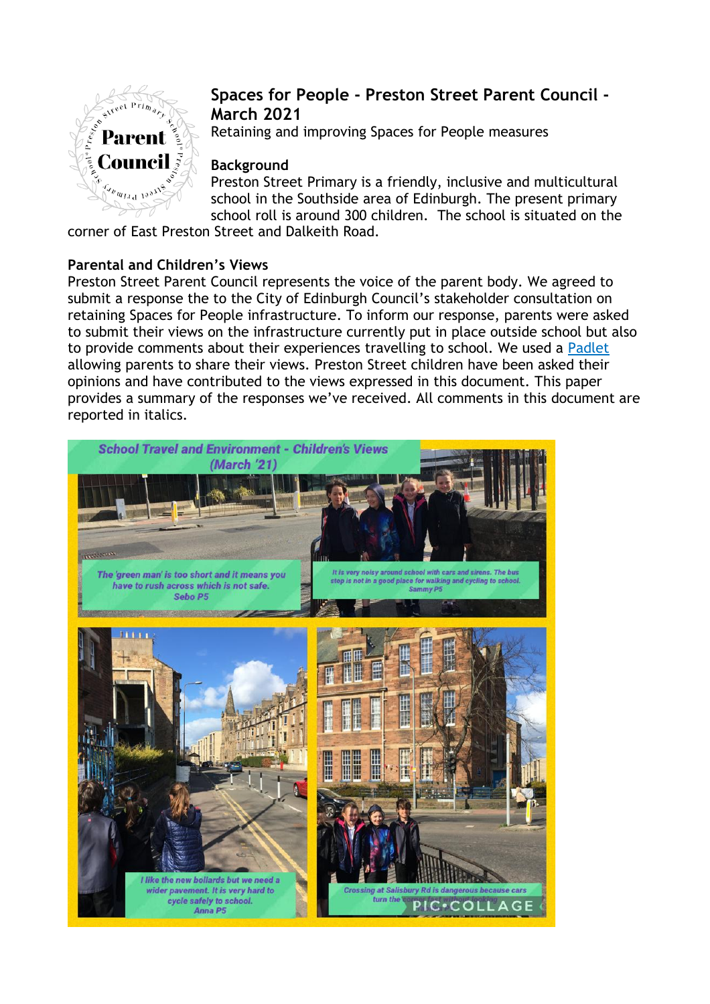

# **Spaces for People - Preston Street Parent Council - March 2021**

Retaining and improving Spaces for People measures

# **Background**

Preston Street Primary is a friendly, inclusive and multicultural school in the Southside area of Edinburgh. The present primary school roll is around 300 children. The school is situated on the

corner of East Preston Street and Dalkeith Road.

# **Parental and Children's Views**

Preston Street Parent Council represents the voice of the parent body. We agreed to submit a response the to the City of Edinburgh Council's stakeholder consultation on retaining Spaces for People infrastructure. To inform our response, parents were asked to submit their views on the infrastructure currently put in place outside school but also to provide comments about their experiences travelling to school. We used a [Padlet](https://padlet.com/raphbleakley/nur4ey7xvf5fcmwe) allowing parents to share their views. Preston Street children have been asked their opinions and have contributed to the views expressed in this document. This paper provides a summary of the responses we've received. All comments in this document are reported in italics.

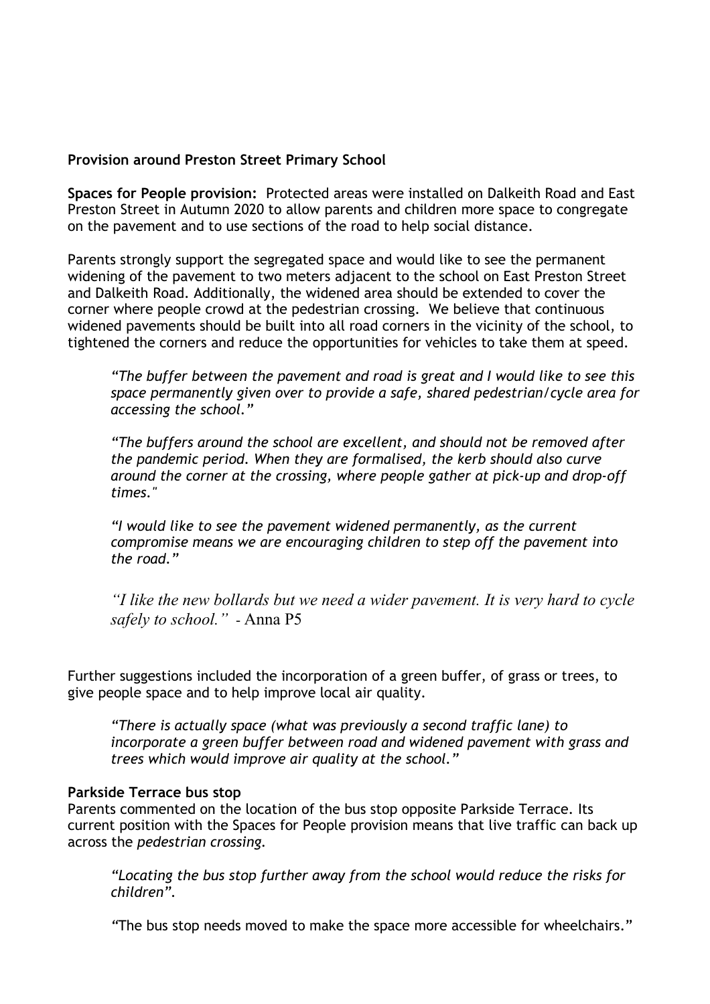## **Provision around Preston Street Primary School**

**Spaces for People provision:** Protected areas were installed on Dalkeith Road and East Preston Street in Autumn 2020 to allow parents and children more space to congregate on the pavement and to use sections of the road to help social distance.

Parents strongly support the segregated space and would like to see the permanent widening of the pavement to two meters adjacent to the school on East Preston Street and Dalkeith Road. Additionally, the widened area should be extended to cover the corner where people crowd at the pedestrian crossing. We believe that continuous widened pavements should be built into all road corners in the vicinity of the school, to tightened the corners and reduce the opportunities for vehicles to take them at speed.

*"The buffer between the pavement and road is great and I would like to see this space permanently given over to provide a safe, shared pedestrian/cycle area for accessing the school."*

*"The buffers around the school are excellent, and should not be removed after the pandemic period. When they are formalised, the kerb should also curve around the corner at the crossing, where people gather at pick-up and drop-off times."*

*"I would like to see the pavement widened permanently, as the current compromise means we are encouraging children to step off the pavement into the road."*

*"I like the new bollards but we need a wider pavement. It is very hard to cycle safely to school."* - Anna P5

Further suggestions included the incorporation of a green buffer, of grass or trees, to give people space and to help improve local air quality.

*"There is actually space (what was previously a second traffic lane) to incorporate a green buffer between road and widened pavement with grass and trees which would improve air quality at the school."*

#### **Parkside Terrace bus stop**

Parents commented on the location of the bus stop opposite Parkside Terrace. Its current position with the Spaces for People provision means that live traffic can back up across the *pedestrian crossing.* 

*"Locating the bus stop further away from the school would reduce the risks for children".*

*"*The bus stop needs moved to make the space more accessible for wheelchairs."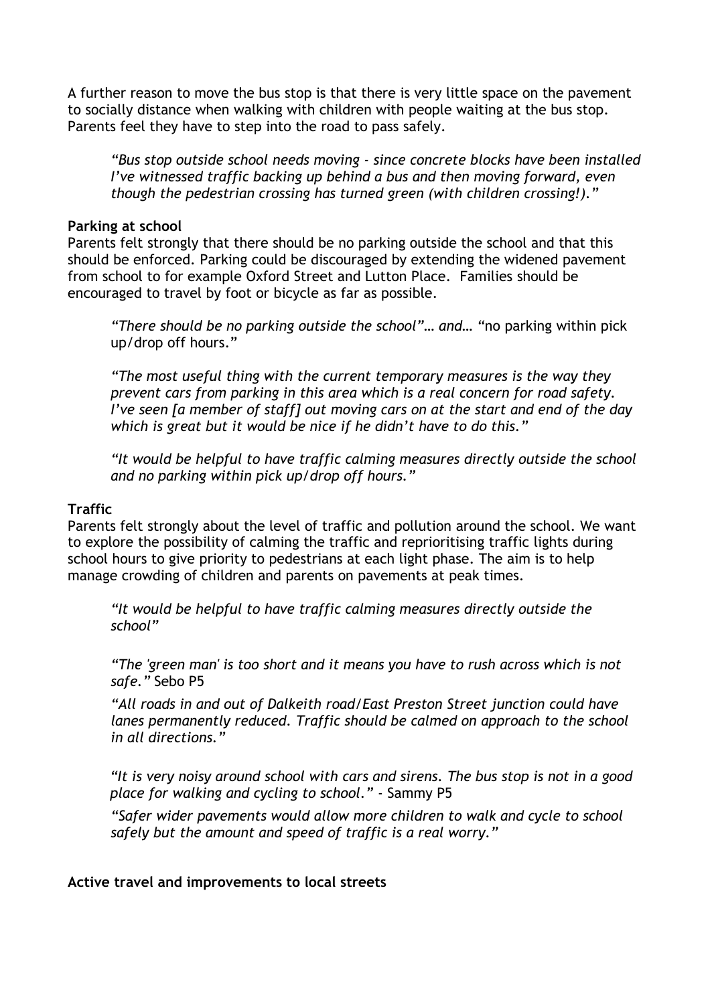A further reason to move the bus stop is that there is very little space on the pavement to socially distance when walking with children with people waiting at the bus stop. Parents feel they have to step into the road to pass safely.

*"Bus stop outside school needs moving - since concrete blocks have been installed I've witnessed traffic backing up behind a bus and then moving forward, even though the pedestrian crossing has turned green (with children crossing!)."*

#### **Parking at school**

Parents felt strongly that there should be no parking outside the school and that this should be enforced. Parking could be discouraged by extending the widened pavement from school to for example Oxford Street and Lutton Place. Families should be encouraged to travel by foot or bicycle as far as possible.

*"There should be no parking outside the school"… and… "*no parking within pick up/drop off hours."

*"The most useful thing with the current temporary measures is the way they prevent cars from parking in this area which is a real concern for road safety. I've seen [a member of staff] out moving cars on at the start and end of the day which is great but it would be nice if he didn't have to do this."*

*"It would be helpful to have traffic calming measures directly outside the school and no parking within pick up/drop off hours."*

### **Traffic**

Parents felt strongly about the level of traffic and pollution around the school. We want to explore the possibility of calming the traffic and reprioritising traffic lights during school hours to give priority to pedestrians at each light phase. The aim is to help manage crowding of children and parents on pavements at peak times.

*"It would be helpful to have traffic calming measures directly outside the school"*

*"The 'green man' is too short and it means you have to rush across which is not safe."* Sebo P5

*"All roads in and out of Dalkeith road/East Preston Street junction could have lanes permanently reduced. Traffic should be calmed on approach to the school in all directions."*

*"It is very noisy around school with cars and sirens. The bus stop is not in a good place for walking and cycling to school."* - Sammy P5

*"Safer wider pavements would allow more children to walk and cycle to school safely but the amount and speed of traffic is a real worry."*

**Active travel and improvements to local streets**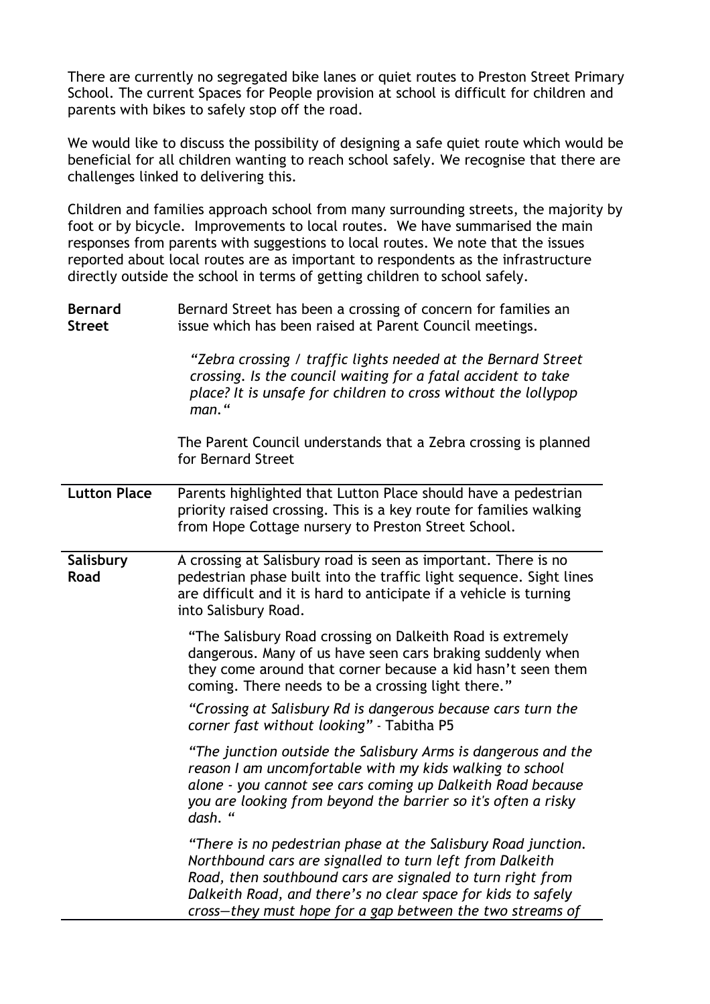There are currently no segregated bike lanes or quiet routes to Preston Street Primary School. The current Spaces for People provision at school is difficult for children and parents with bikes to safely stop off the road.

We would like to discuss the possibility of designing a safe quiet route which would be beneficial for all children wanting to reach school safely. We recognise that there are challenges linked to delivering this.

Children and families approach school from many surrounding streets, the majority by foot or by bicycle. Improvements to local routes. We have summarised the main responses from parents with suggestions to local routes. We note that the issues reported about local routes are as important to respondents as the infrastructure directly outside the school in terms of getting children to school safely.

| <b>Bernard</b> | Bernard Street has been a crossing of concern for families an |
|----------------|---------------------------------------------------------------|
| Street         | issue which has been raised at Parent Council meetings.       |

*"Zebra crossing / traffic lights needed at the Bernard Street crossing. Is the council waiting for a fatal accident to take place? It is unsafe for children to cross without the lollypop man."*

The Parent Council understands that a Zebra crossing is planned for Bernard Street

**Lutton Place** Parents highlighted that Lutton Place should have a pedestrian priority raised crossing. This is a key route for families walking from Hope Cottage nursery to Preston Street School.

**Salisbury Road** A crossing at Salisbury road is seen as important. There is no pedestrian phase built into the traffic light sequence. Sight lines are difficult and it is hard to anticipate if a vehicle is turning into Salisbury Road.

> "The Salisbury Road crossing on Dalkeith Road is extremely dangerous. Many of us have seen cars braking suddenly when they come around that corner because a kid hasn't seen them coming. There needs to be a crossing light there."

*"Crossing at Salisbury Rd is dangerous because cars turn the corner fast without looking"* - Tabitha P5

*"The junction outside the Salisbury Arms is dangerous and the reason I am uncomfortable with my kids walking to school alone - you cannot see cars coming up Dalkeith Road because you are looking from beyond the barrier so it's often a risky dash. "*

*"There is no pedestrian phase at the Salisbury Road junction. Northbound cars are signalled to turn left from Dalkeith Road, then southbound cars are signaled to turn right from Dalkeith Road, and there's no clear space for kids to safely cross—they must hope for a gap between the two streams of*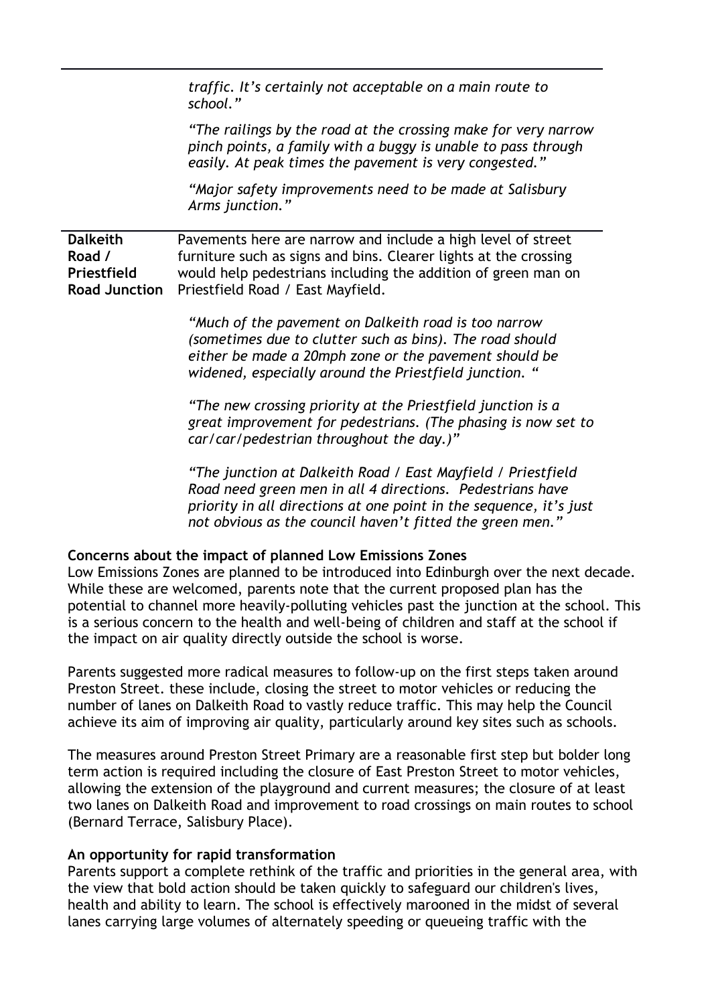*traffic. It's certainly not acceptable on a main route to school."*

*"The railings by the road at the crossing make for very narrow pinch points, a family with a buggy is unable to pass through easily. At peak times the pavement is very congested."*

*"Major safety improvements need to be made at Salisbury Arms junction."*

**Dalkeith Road / Priestfield Road Junction** Pavements here are narrow and include a high level of street furniture such as signs and bins. Clearer lights at the crossing would help pedestrians including the addition of green man on Priestfield Road / East Mayfield.

> *"Much of the pavement on Dalkeith road is too narrow (sometimes due to clutter such as bins). The road should either be made a 20mph zone or the pavement should be widened, especially around the Priestfield junction. "*

*"The new crossing priority at the Priestfield junction is a great improvement for pedestrians. (The phasing is now set to car/car/pedestrian throughout the day.)"*

*"The junction at Dalkeith Road / East Mayfield / Priestfield Road need green men in all 4 directions. Pedestrians have priority in all directions at one point in the sequence, it's just not obvious as the council haven't fitted the green men."*

#### **Concerns about the impact of planned Low Emissions Zones**

Low Emissions Zones are planned to be introduced into Edinburgh over the next decade. While these are welcomed, parents note that the current proposed plan has the potential to channel more heavily-polluting vehicles past the junction at the school. This is a serious concern to the health and well-being of children and staff at the school if the impact on air quality directly outside the school is worse.

Parents suggested more radical measures to follow-up on the first steps taken around Preston Street. these include, closing the street to motor vehicles or reducing the number of lanes on Dalkeith Road to vastly reduce traffic. This may help the Council achieve its aim of improving air quality, particularly around key sites such as schools.

The measures around Preston Street Primary are a reasonable first step but bolder long term action is required including the closure of East Preston Street to motor vehicles, allowing the extension of the playground and current measures; the closure of at least two lanes on Dalkeith Road and improvement to road crossings on main routes to school (Bernard Terrace, Salisbury Place).

#### **An opportunity for rapid transformation**

Parents support a complete rethink of the traffic and priorities in the general area, with the view that bold action should be taken quickly to safeguard our children's lives, health and ability to learn. The school is effectively marooned in the midst of several lanes carrying large volumes of alternately speeding or queueing traffic with the